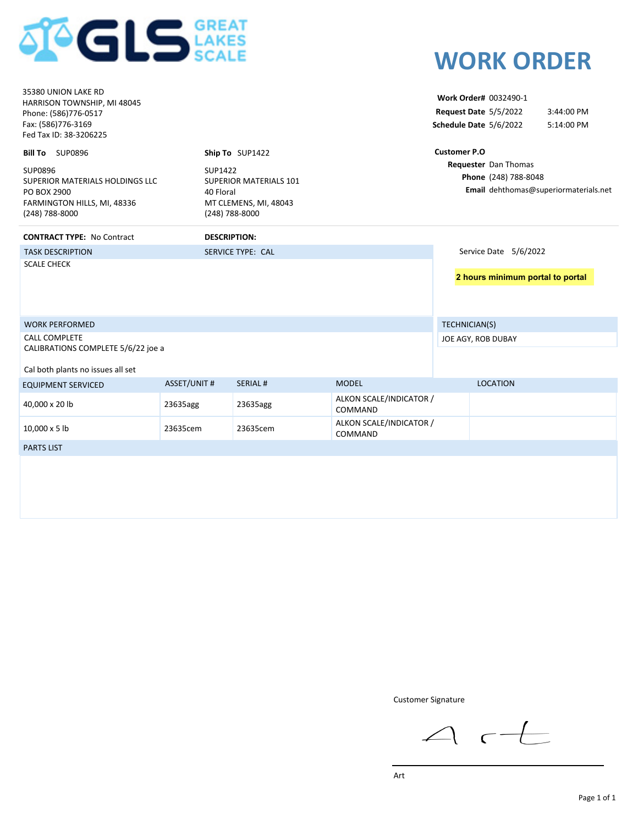

| 35380 UNION LAKE RD<br>HARRISON TOWNSHIP, MI 48045<br>Phone: (586)776-0517<br>Fax: (586)776-3169<br>Fed Tax ID: 38-3206225<br>Bill To SUP0896<br>SUP0896<br>SUPERIOR MATERIALS HOLDINGS LLC<br>PO BOX 2900<br>FARMINGTON HILLS, MI, 48336<br>(248) 788-8000 | SUP1422<br>40 Floral<br>(248) 788-8000 | Ship To SUP1422<br><b>SUPERIOR MATERIALS 101</b><br>MT CLEMENS, MI, 48043 |                                    | <b>Customer P.O</b> | Work Order# 0032490-1<br>Request Date 5/5/2022<br>Schedule Date 5/6/2022<br>Requester Dan Thomas<br>Phone (248) 788-8048 | 3:44:00 PM<br>5:14:00 PM<br>Email dehthomas@superiormaterials.net |
|-------------------------------------------------------------------------------------------------------------------------------------------------------------------------------------------------------------------------------------------------------------|----------------------------------------|---------------------------------------------------------------------------|------------------------------------|---------------------|--------------------------------------------------------------------------------------------------------------------------|-------------------------------------------------------------------|
| <b>CONTRACT TYPE: No Contract</b>                                                                                                                                                                                                                           | <b>DESCRIPTION:</b>                    |                                                                           |                                    |                     |                                                                                                                          |                                                                   |
| <b>TASK DESCRIPTION</b>                                                                                                                                                                                                                                     |                                        | <b>SERVICE TYPE: CAL</b>                                                  |                                    |                     | Service Date 5/6/2022                                                                                                    |                                                                   |
| <b>SCALE CHECK</b>                                                                                                                                                                                                                                          |                                        |                                                                           |                                    |                     |                                                                                                                          | 2 hours minimum portal to portal                                  |
| <b>WORK PERFORMED</b>                                                                                                                                                                                                                                       |                                        |                                                                           |                                    | TECHNICIAN(S)       |                                                                                                                          |                                                                   |
| <b>CALL COMPLETE</b><br>CALIBRATIONS COMPLETE 5/6/22 joe a                                                                                                                                                                                                  |                                        |                                                                           |                                    |                     | JOE AGY, ROB DUBAY                                                                                                       |                                                                   |
| Cal both plants no issues all set                                                                                                                                                                                                                           |                                        |                                                                           |                                    |                     |                                                                                                                          |                                                                   |
| <b>EQUIPMENT SERVICED</b>                                                                                                                                                                                                                                   | <b>ASSET/UNIT #</b>                    | <b>SERIAL#</b>                                                            | <b>MODEL</b>                       |                     | <b>LOCATION</b>                                                                                                          |                                                                   |
| 40,000 x 20 lb                                                                                                                                                                                                                                              | 23635agg                               | 23635agg                                                                  | ALKON SCALE/INDICATOR /<br>COMMAND |                     |                                                                                                                          |                                                                   |
| 10,000 x 5 lb                                                                                                                                                                                                                                               | 23635cem                               | 23635cem                                                                  | ALKON SCALE/INDICATOR /<br>COMMAND |                     |                                                                                                                          |                                                                   |
| <b>PARTS LIST</b>                                                                                                                                                                                                                                           |                                        |                                                                           |                                    |                     |                                                                                                                          |                                                                   |
|                                                                                                                                                                                                                                                             |                                        |                                                                           |                                    |                     |                                                                                                                          |                                                                   |

Customer Signature

 $\triangle$  r $\pm$ 

**WORK ORDER**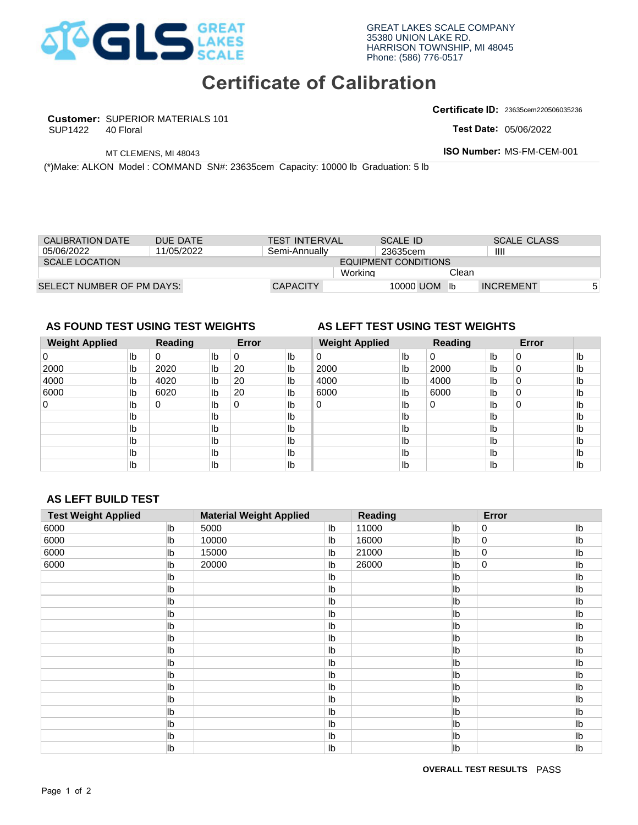

# **Certificate of Calibration**

**Customer:** SUPERIOR MATERIALS 101

SUP1422

**Certificate ID:** 23635cem220506035236

**Test Date:** 

| CALIBRATION DATE          | DUE DATE   | <b>TEST INTERVAL</b> | SCALE ID             |       | <b>SCALE CLASS</b> |   |
|---------------------------|------------|----------------------|----------------------|-------|--------------------|---|
| 05/06/2022                | 11/05/2022 | Semi-Annually        | 23635cem             |       | Ш                  |   |
| <b>SCALE LOCATION</b>     |            |                      | EQUIPMENT CONDITIONS |       |                    |   |
|                           |            | Working              |                      | Clean |                    |   |
| SELECT NUMBER OF PM DAYS: |            | <b>CAPACITY</b>      | 10000 UOM            |       | <b>INCREMENT</b>   | 5 |

## **AS FOUND TEST USING TEST WEIGHTS AS LEFT TEST USING TEST WEIGHTS**

## **Weight Applied Reading Error Weight Applied Reading Error**  0 lb  $Ib$  $\mathsf{lb}$  $\mathsf{lb}$ Ib Ib  $Ib$ Ib  $Ib$ 180 Number: MS-FM-CEM-001<br>
180 Number: MS-FM-CEM-001<br>
180 Number: MS-FM-CEM-001<br>
180 Number: MS-FM-CEM-001<br>
20 SCALE CLASS<br>
20 Montang<br>
20 Monographied<br>
20 Monographied<br>
20 Monographied<br>
20 Monographied<br>
20 Monographied<br>
2 0 0 1b 0 1b 0 1b 0<br>
2000 1b 2020 1b 20 1b 2<br>
4000 1b 4020 1b 20 1b 4<br>
6000 1b 6020 1b 20 1b 6<br>
0 1b 0 1b 0 1b 0<br>
1b 1b 1b 1b 1b<br>
1b 1b 1b 1b 1b<br>
1b 1b 1b 1b 1b<br>
1b 1b 1b 1b<br>
1b 1b 1b 1b<br>
1b 1b 1b 1b<br>
1b 1b 1b 1b<br>
1b 1b 1b 4020 lb 20 lb 4000<br>
6020 lb 20 lb 6000<br>
0 lb 0 lb 0<br>
lb b b<br>
lb b b<br>
lb b b<br>
lb b<br>
lb b<br>
lb b<br>
lb b<br>
lb b<br>
lb b<br>
lb b<br>
lb b<br>
lb b<br>
lb b<br>
lb b<br>
lb b<br>
lb b<br>
lb b<br>
lb b<br>
lb b<br>
lb b<br>
lb b<br>
lb b<br>
lb b<br>
lb b<br>
lb b<br>
lb b<br>
lb b<br>
l 2000 SUP1422 40 Floral<br>
MTCLEMENS, MI 48043<br>
(NMake: ALKON Model : COMMAND SN#: 23635cem Capacity: 10000 Ib Graduation: 5 Ib<br>
CALIBRATION DATE<br>
DUE DATE<br>
CALIBRATION DATE<br>
DUE DATE<br>
SCALE LOCATION<br>
SCALE LOCATION<br>
SCALE LOCATIO 0 0 1b<br>
2020 1b<br>
4020 1b<br>
6020 1b<br>
10 1b<br>
10 10000<br>
10 10000<br>
10 10000<br>
10 10000<br>
10 20000<br>
10 20000 0 SELECT NUMBER OF PM DAYS:<br> **AS FOUND TEST USING TEST WEIGHT<br>
Weight Applied Reading E<br>
0 b 0 b 0<br>
2000 b 2020 b 20** 4000 0 0 0 0 0 0 6000 0 11/05/2022 | Semi-Annually | 23635cem<br>
| EQUIPMENT CONDITIONS<br>
| Working Clean<br>
NG TEST WEIGHTS AS LEFT TEST USING TEST WEIGHT<br>
Reading Error Weight Applied Reading<br>
0 1b 0 1b 0 1b 0 1b 0 1b<br>
4020 1b 20 1b 4000 1b 4000 1b 0 0 <sup>2000</sup> UOM <sup>5</sup> <sup>6000</sup> <sup>26000</sup> lb lb lb lb lb lb lb lb lb lb lb lb lb lb lb lb lb lb lb lb lb lb lb lb lb lb lb lb lb lb lb lb lb lb lb lb lb lb lb lb lb lb lb lb lb lb lb lb lb lb lb lb lb lb lb lb lb lb lb lb lb lb lb lb lb lb lb lb lb lb lb lb lb lb lb lb lb 20

# **AS LEFT BUILD TEST**

|                                                            | 40 Floral                                                                        |                      |                |           |                                |                      |                                        |                 |                                 |             | Test Date: 05/06/2022     |                |
|------------------------------------------------------------|----------------------------------------------------------------------------------|----------------------|----------------|-----------|--------------------------------|----------------------|----------------------------------------|-----------------|---------------------------------|-------------|---------------------------|----------------|
|                                                            |                                                                                  | MT CLEMENS, MI 48043 |                |           |                                |                      |                                        |                 |                                 |             | ISO Number: MS-FM-CEM-001 |                |
|                                                            | (*)Make: ALKON Model : COMMAND SN#: 23635cem Capacity: 10000 lb Graduation: 5 lb |                      |                |           |                                |                      |                                        |                 |                                 |             |                           |                |
|                                                            |                                                                                  |                      |                |           |                                |                      |                                        |                 |                                 |             |                           |                |
|                                                            |                                                                                  |                      |                |           |                                |                      |                                        |                 |                                 |             |                           |                |
|                                                            |                                                                                  |                      |                |           |                                |                      |                                        |                 |                                 |             |                           |                |
| <b>CALIBRATION DATE</b>                                    |                                                                                  | DUE DATE             |                |           | <b>TEST INTERVAL</b>           |                      |                                        | <b>SCALE ID</b> |                                 |             | <b>SCALE CLASS</b>        |                |
| 05/06/2022                                                 |                                                                                  | 11/05/2022           |                |           | Semi-Annually                  |                      |                                        | 23635cem        |                                 | III         |                           |                |
| <b>SCALE LOCATION</b>                                      |                                                                                  |                      |                |           |                                |                      | <b>EQUIPMENT CONDITIONS</b><br>Working |                 | Clean                           |             |                           |                |
|                                                            | SELECT NUMBER OF PM DAYS:                                                        |                      |                |           | <b>CAPACITY</b>                |                      |                                        |                 | 10000 UOM lb                    |             | <b>INCREMENT</b>          |                |
|                                                            |                                                                                  |                      |                |           |                                |                      |                                        |                 |                                 |             |                           |                |
|                                                            | AS FOUND TEST USING TEST WEIGHTS                                                 |                      |                |           |                                |                      |                                        |                 | AS LEFT TEST USING TEST WEIGHTS |             |                           |                |
| <b>Weight Applied</b>                                      |                                                                                  | <b>Reading</b>       |                | Error     |                                |                      | <b>Weight Applied</b>                  |                 | <b>Reading</b>                  |             | Error                     |                |
| $\pmb{0}$                                                  | Ib                                                                               | $\pmb{0}$            | lb             | $\pmb{0}$ | I <sub>b</sub>                 | $\pmb{0}$            |                                        | I <sub>b</sub>  | $\mathsf 0$                     | lb          | $\pmb{0}$                 | Ib             |
| 2000                                                       | Ib                                                                               | 2020                 | $\mathsf{lb}$  | 20        | Ib                             | 2000                 |                                        | I <sub>b</sub>  | 2000                            | Ib          | $\pmb{0}$                 | Ib             |
| 4000                                                       | lb                                                                               | 4020                 | lb             | 20        | lb                             | 4000                 |                                        | Ib              | 4000                            | Ib          | $\pmb{0}$                 | I <sub>b</sub> |
| 6000                                                       | Ib                                                                               | 6020                 | lb             | 20        | Ib                             | 6000                 |                                        | Ib              | 6000                            | Ib          | $\pmb{0}$                 | I <sub>b</sub> |
| $\pmb{0}$                                                  | lb                                                                               | $\mathbf 0$          | Ib             | $\pmb{0}$ | lb                             | $\pmb{0}$            |                                        | lb              | $\mathbf 0$                     | Ib          | $\mathbf 0$               | I <sub>b</sub> |
|                                                            | lb                                                                               |                      | Ib             |           | lb                             |                      |                                        | lb              |                                 | Ib          |                           | I <sub>b</sub> |
|                                                            | lb                                                                               |                      | lb             |           | Ib                             |                      |                                        | Ib              |                                 | Ib          |                           | I <sub>b</sub> |
|                                                            | $\mathsf{lb}$                                                                    |                      | I <sub>b</sub> |           | lb                             |                      |                                        | Ib              |                                 | Ib          |                           | I <sub>b</sub> |
|                                                            | $\mathsf{lb}$                                                                    |                      |                |           |                                |                      |                                        |                 |                                 |             |                           |                |
|                                                            |                                                                                  |                      | I <sub>b</sub> |           | Ib                             |                      |                                        | Ib              |                                 | Ib          |                           | I <sub>b</sub> |
|                                                            | Ib                                                                               |                      | Ib             |           | Ib                             |                      |                                        | Ib              |                                 | Ib          |                           | Ib             |
|                                                            |                                                                                  |                      |                |           |                                |                      |                                        |                 |                                 |             |                           |                |
|                                                            | <b>AS LEFT BUILD TEST</b>                                                        |                      |                |           |                                |                      |                                        |                 |                                 |             |                           |                |
|                                                            |                                                                                  |                      |                |           | <b>Material Weight Applied</b> |                      | Reading                                |                 |                                 | Error       |                           |                |
|                                                            |                                                                                  | lb                   | 5000           |           |                                | Ib                   | 11000                                  |                 | lb                              | 0           |                           | lb             |
|                                                            |                                                                                  | lb                   | 10000          |           |                                | I <sub>b</sub>       | 16000                                  |                 | lb                              | $\mathbf 0$ |                           | lb             |
|                                                            |                                                                                  | lb                   | 15000          |           |                                | Ib                   | 21000                                  |                 | lb                              | $\mathbf 0$ |                           | lb             |
|                                                            |                                                                                  | Ib                   | 20000          |           |                                | Ib                   | 26000                                  |                 | lb                              | 0           |                           | lb             |
|                                                            |                                                                                  | Ib                   |                |           |                                | Ib                   |                                        |                 | lb                              |             |                           | lb             |
|                                                            |                                                                                  | Ib                   |                |           |                                | Ib                   |                                        |                 | lb                              |             |                           | lb             |
|                                                            |                                                                                  | lb                   |                |           |                                | Ib                   |                                        |                 | lb                              |             |                           | lb             |
|                                                            |                                                                                  | lb                   |                |           |                                | I <sub>b</sub>       |                                        |                 | lb                              |             |                           | lb             |
|                                                            |                                                                                  | lb                   |                |           |                                | I <sub>b</sub>       |                                        |                 | lb                              |             |                           | lb             |
|                                                            |                                                                                  | lb                   |                |           |                                | I <sub>b</sub>       |                                        |                 | lb                              |             |                           | lb             |
|                                                            |                                                                                  | lb                   |                |           |                                | I <sub>b</sub>       |                                        |                 | lb                              |             |                           | lb             |
|                                                            |                                                                                  | lb                   |                |           |                                | I <sub>b</sub>       |                                        |                 | lb                              |             |                           | lb             |
|                                                            |                                                                                  | lb                   |                |           |                                | Ib                   |                                        |                 | Ib                              |             |                           | lb             |
|                                                            |                                                                                  | lb                   |                |           |                                | I <sub>b</sub>       |                                        |                 | lb                              |             |                           | lb             |
|                                                            |                                                                                  | lb                   |                |           |                                | I <sub>b</sub>       |                                        |                 | lb                              |             |                           | lb             |
|                                                            |                                                                                  | lb                   |                |           |                                | I <sub>b</sub>       |                                        |                 | lb                              |             |                           | lb             |
|                                                            |                                                                                  | lb                   |                |           |                                | I <sub>b</sub>       |                                        |                 | lb                              |             |                           | lb             |
| <b>Test Weight Applied</b><br>6000<br>6000<br>6000<br>6000 |                                                                                  | lb<br>lb             |                |           |                                | I <sub>b</sub><br>Ib |                                        |                 | lb<br>lb                        |             |                           | lb<br>lb       |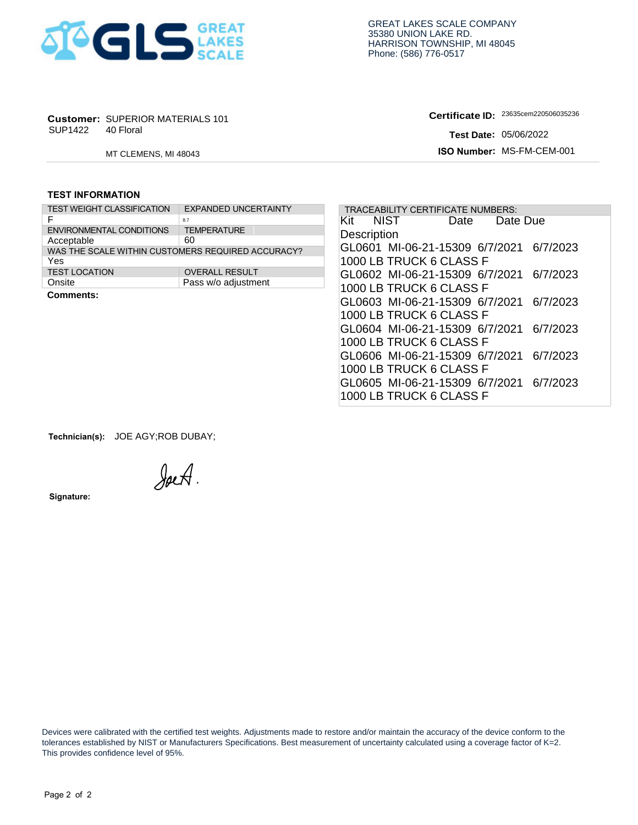

**Certificate ID:**

### **TEST INFORMATION**

| SUP1422                 | <b>Customer: SUPERIOR MATERIALS 101</b><br>40 Floral |                             |  |  |  |  |  |  |  |
|-------------------------|------------------------------------------------------|-----------------------------|--|--|--|--|--|--|--|
|                         |                                                      | MT CLEMENS, MI 48043        |  |  |  |  |  |  |  |
|                         |                                                      |                             |  |  |  |  |  |  |  |
| <b>TEST INFORMATION</b> |                                                      |                             |  |  |  |  |  |  |  |
|                         |                                                      |                             |  |  |  |  |  |  |  |
|                         | <b>TEST WEIGHT CLASSIFICATION</b>                    | <b>EXPANDED UNCERTAINTY</b> |  |  |  |  |  |  |  |
| F                       |                                                      | 8.7                         |  |  |  |  |  |  |  |
|                         | ENVIRONMENTAL CONDITIONS                             | <b>TEMPERATURE</b>          |  |  |  |  |  |  |  |
| Acceptable              |                                                      | 60                          |  |  |  |  |  |  |  |
|                         | WAS THE SCALE WITHIN CUSTOMERS REQUIRED ACCURACY?    |                             |  |  |  |  |  |  |  |
| Yes                     |                                                      |                             |  |  |  |  |  |  |  |
| <b>TEST LOCATION</b>    |                                                      | <b>OVERALL RESULT</b>       |  |  |  |  |  |  |  |
| Onsite                  |                                                      | Pass w/o adjustment         |  |  |  |  |  |  |  |
| Cammante:               |                                                      |                             |  |  |  |  |  |  |  |

|                         | <b>Customer: SUPERIOR MATERIALS 101</b> |                                                         |                         | Certificate ID: 23635cem220506035236     |          |
|-------------------------|-----------------------------------------|---------------------------------------------------------|-------------------------|------------------------------------------|----------|
| SUP1422                 | 40 Floral                               |                                                         |                         | <b>Test Date: 05/06/2022</b>             |          |
|                         | MT CLEMENS, MI 48043                    |                                                         |                         | ISO Number: MS-FM-CEM-001                |          |
| <b>TEST INFORMATION</b> |                                         |                                                         |                         |                                          |          |
|                         | <b>TEST WEIGHT CLASSIFICATION</b>       | <b>EXPANDED UNCERTAINTY</b>                             |                         | <b>TRACEABILITY CERTIFICATE NUMBERS:</b> |          |
| F                       |                                         | 8.7                                                     | NIST<br>Kit             | Date                                     | Date Due |
|                         | <b>ENVIRONMENTAL CONDITIONS</b>         | <b>TEMPERATURE</b>                                      | Description             |                                          |          |
| Acceptable              |                                         | 60<br>WAS THE SCALE WITHIN CUSTOMERS REQUIRED ACCURACY? |                         | GL0601 MI-06-21-15309 6/7/2021           | 6/7/2023 |
| Yes                     |                                         |                                                         | 1000 LB TRUCK 6 CLASS F |                                          |          |
| <b>TEST LOCATION</b>    |                                         | <b>OVERALL RESULT</b>                                   |                         | GL0602 MI-06-21-15309 6/7/2021 6/7/2023  |          |
| Onsite                  |                                         | Pass w/o adjustment                                     | 1000 LB TRUCK 6 CLASS F |                                          |          |
| <b>Comments:</b>        |                                         |                                                         |                         |                                          |          |
|                         |                                         |                                                         |                         | GL0603 MI-06-21-15309 6/7/2021 6/7/2023  |          |
|                         |                                         |                                                         | 1000 LB TRUCK 6 CLASS F |                                          |          |
|                         |                                         |                                                         |                         | GL0604 MI-06-21-15309 6/7/2021           | 6/7/2023 |
|                         |                                         |                                                         | 1000 LB TRUCK 6 CLASS F |                                          |          |
|                         |                                         |                                                         |                         | GL0606 MI-06-21-15309 6/7/2021 6/7/2023  |          |
|                         |                                         |                                                         | 1000 LB TRUCK 6 CLASS F |                                          |          |
|                         |                                         |                                                         |                         | GL0605 MI-06-21-15309 6/7/2021 6/7/2023  |          |
|                         |                                         |                                                         |                         |                                          |          |
|                         |                                         |                                                         | 1000 LB TRUCK 6 CLASS F |                                          |          |

**Technician(s):** JOE AGY;ROB DUBAY;

JoeA.

**Signature:** 

 Devices were calibrated with the certified test weights. Adjustments made to restore and/or maintain the accuracy of the device conform to the tolerances established by NIST or Manufacturers Specifications. Best measurement of uncertainty calculated using a coverage factor of K=2. This provides confidence level of 95%.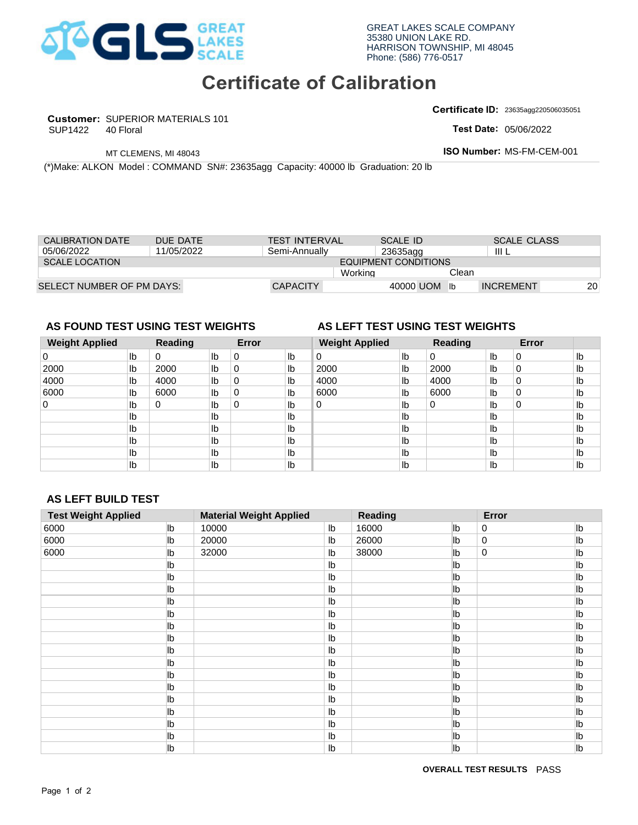

# **Certificate of Calibration**

**Customer:** SUPERIOR MATERIALS 101

SUP1422

**Certificate ID:** 23635agg220506035051

**Test Date:** 

| <b>CALIBRATION DATE</b>   | DUE DATE   | <b>TEST INTERVAL</b> | SCALE ID             | <b>SCALE CLASS</b> |           |
|---------------------------|------------|----------------------|----------------------|--------------------|-----------|
| 05/06/2022                | 11/05/2022 | Semi-Annually        | 23635agg             | III L              |           |
| <b>SCALE LOCATION</b>     |            |                      | EQUIPMENT CONDITIONS |                    |           |
|                           |            | Working              |                      | Clean              |           |
| SELECT NUMBER OF PM DAYS: |            | <b>CAPACITY</b>      | 40000 UOM            | <b>INCREMENT</b>   | <b>20</b> |

## **AS FOUND TEST USING TEST WEIGHTS AS LEFT TEST USING TEST WEIGHTS**

#### **Weight Applied Reading Error Weight Applied Reading Error**  0 lb.  $Ib$  $\mathsf{lb}$  $\mathsf{lb}$ Ib Ib  $Ib$ Ib  $Ib$ 0 0 0 1b 0 1b 0 1b 0<br>
2000 1b 2000 1b 0 1b 2<br>
4000 1b 4000 1b 0 1b 4<br>
6000 1b 6000 1b 0 1b 6<br>
0 1b 0 1b 0 1b 0<br>
1b 1b 1b 1b 1b<br>
1b 1b 1b 1b 1b<br>
1b 1b 1b 1b 1b<br>
1b 1b 1b 1b<br>
1b 1b 1b 1b<br>
1b 1b 1b 1b<br>
1b 1b 1b 1b<br>
1b 1b 1b 1b<br> 4000 1b 0 1b 4000<br>
6000 1b 0 1b 6000<br>
0 1b 0 1b 0<br>
1b 1b<br>
1b 1b<br>
1b 1b<br>
1b 1b<br>
1b<br>
1b 1b<br>
1b 10000<br>
1b 16000<br>
1b 20000<br>
1b 26000<br>
1b 26000 0 0 0 0 4000 0 0 0 0 0 0 6000 0 11/05/2022 Semi-Annually 23635agg | III L<br>
11/05/2022 Semi-Annually EQUIPMENT CONDITIONS<br>
Nortking Cean<br>
NG TEST WEIGHTS AS LEFT TEST USING TEST WEIGHTS<br>
Reading Error Weight Applied Reading<br>
0 1b 0 1b 2000 1b 0 1b 2000 1 0 0 UOM Ib INCREMENT<br> **2000** Ib O Ib 2000 Ib O Ib O Ib D lb lb lb lb lb lb lb 2000 lb 0 lb 2000 lb 2000 lb 0 lb lb | 4000 | lb | 1000 | lb | 1000 | lb | 0 | lb | 1000 | lb | 10 lb | 6000 | lb | 6000 | lb | 6000 | lb | 0 | lb | 1b | 1b | 6000 | lb | 0 | 1b | 1b lb lb lb lb lb lb lb lb lb lb lb lb lb lb lb lb lb lb lb lb lb lb lb lb lb lb lb lb lb lb lb lb lb lb lb lb 0

## **AS LEFT BUILD TEST**

|                         | 40 Floral                                                                          |                      |                      |             |                                |                      |                                        |                 |                |                  | Test Date: 05/06/2022     |                                  |
|-------------------------|------------------------------------------------------------------------------------|----------------------|----------------------|-------------|--------------------------------|----------------------|----------------------------------------|-----------------|----------------|------------------|---------------------------|----------------------------------|
|                         |                                                                                    | MT CLEMENS, MI 48043 |                      |             |                                |                      |                                        |                 |                |                  | ISO Number: MS-FM-CEM-001 |                                  |
|                         | (*) Make: ALKON Model : COMMAND SN#: 23635agg Capacity: 40000 lb Graduation: 20 lb |                      |                      |             |                                |                      |                                        |                 |                |                  |                           |                                  |
|                         |                                                                                    |                      |                      |             |                                |                      |                                        |                 |                |                  |                           |                                  |
|                         |                                                                                    |                      |                      |             |                                |                      |                                        |                 |                |                  |                           |                                  |
| <b>CALIBRATION DATE</b> |                                                                                    | DUE DATE             |                      |             | <b>TEST INTERVAL</b>           |                      |                                        | <b>SCALE ID</b> |                |                  | <b>SCALE CLASS</b>        |                                  |
| 05/06/2022              |                                                                                    | 11/05/2022           |                      |             | Semi-Annually                  |                      |                                        | 23635agg        |                | III <sub>L</sub> |                           |                                  |
| <b>SCALE LOCATION</b>   |                                                                                    |                      |                      |             |                                |                      | <b>EQUIPMENT CONDITIONS</b><br>Working |                 | Clean          |                  |                           |                                  |
|                         | SELECT NUMBER OF PM DAYS:                                                          |                      |                      |             | <b>CAPACITY</b>                |                      |                                        |                 | 40000 UOM lb   |                  | <b>INCREMENT</b>          | 20                               |
|                         |                                                                                    |                      |                      |             |                                |                      |                                        |                 |                |                  |                           |                                  |
|                         | AS FOUND TEST USING TEST WEIGHTS                                                   |                      |                      |             |                                |                      | AS LEFT TEST USING TEST WEIGHTS        |                 |                |                  |                           |                                  |
| <b>Weight Applied</b>   |                                                                                    | <b>Reading</b>       |                      | Error       |                                |                      | <b>Weight Applied</b>                  |                 | <b>Reading</b> |                  | Error                     |                                  |
| $\pmb{0}$               | Ib                                                                                 | 0                    | lb                   | $\,0\,$     | Ib                             | $\pmb{0}$            |                                        | I <sub>b</sub>  | $\pmb{0}$      | lb               | $\pmb{0}$                 | I <sub>b</sub>                   |
| 2000                    | Ib                                                                                 | 2000                 | $\mathsf{lb}$        | $\mathbf 0$ | Ib                             | 2000                 |                                        | I <sub>b</sub>  | 2000           | Ib               | $\boldsymbol{0}$          | Ib                               |
| 4000                    | lb                                                                                 | 4000                 | lb                   | $\mathbf 0$ | lb                             | 4000                 |                                        | Ib              | 4000           | Ib               | $\boldsymbol{0}$          | I <sub>b</sub>                   |
| 6000                    | $\mathsf{lb}$                                                                      | 6000                 | lb                   | 0           | Ib                             | 6000                 |                                        | Ib              | 6000           | Ib               | $\boldsymbol{0}$          | I <sub>b</sub>                   |
| $\pmb{0}$               | lb                                                                                 | 0                    | Ib                   | $\pmb{0}$   | lb                             | $\pmb{0}$            |                                        | lb              | $\mathbf 0$    | Ib               | $\mathbf 0$               | I <sub>b</sub>                   |
|                         | lb                                                                                 |                      | Ib                   |             | lb                             |                      |                                        | lb              |                | Ib               |                           | I <sub>b</sub>                   |
|                         | lb<br>$\mathsf{lb}$                                                                |                      | lb<br>I <sub>b</sub> |             | Ib<br>lb                       |                      |                                        | Ib<br>Ib        |                | Ib<br>Ib         |                           | I <sub>b</sub><br>I <sub>b</sub> |
|                         | $\mathsf{lb}$                                                                      |                      | I <sub>b</sub>       |             | Ib                             |                      |                                        | Ib              |                | Ib               |                           | I <sub>b</sub>                   |
|                         | Ib                                                                                 |                      | Ib                   |             | Ib                             |                      |                                        | Ib              |                | Ib               |                           | Ib                               |
|                         |                                                                                    |                      |                      |             |                                |                      |                                        |                 |                |                  |                           |                                  |
|                         | <b>AS LEFT BUILD TEST</b>                                                          |                      |                      |             |                                |                      |                                        |                 |                |                  |                           |                                  |
|                         |                                                                                    |                      |                      |             |                                |                      |                                        |                 |                |                  |                           |                                  |
|                         |                                                                                    |                      |                      |             |                                |                      |                                        |                 |                |                  |                           |                                  |
|                         | <b>Test Weight Applied</b>                                                         |                      |                      |             | <b>Material Weight Applied</b> |                      | Reading                                |                 |                | Error            |                           |                                  |
|                         |                                                                                    | lb                   | 10000                |             |                                | Ib                   | 16000                                  |                 | lb<br>lb       | 0<br>$\mathbf 0$ |                           | lb                               |
|                         |                                                                                    | lb<br>lb             | 20000<br>32000       |             |                                | I <sub>b</sub><br>Ib | 26000<br>38000                         |                 | lb             | $\mathbf 0$      |                           | lb<br>lb                         |
|                         |                                                                                    | Ib                   |                      |             |                                | Ib                   |                                        |                 | Ib             |                  |                           | lb                               |
|                         |                                                                                    | Ib                   |                      |             |                                | Ib                   |                                        |                 | lb             |                  |                           | lb                               |
|                         |                                                                                    | Ib                   |                      |             |                                | Ib                   |                                        |                 | lb             |                  |                           | lb                               |
|                         |                                                                                    | lb                   |                      |             |                                | Ib                   |                                        |                 | lb             |                  |                           | lb                               |
|                         |                                                                                    | lb                   |                      |             |                                | I <sub>b</sub>       |                                        |                 | lb             |                  |                           | lb                               |
|                         |                                                                                    | lb                   |                      |             |                                | I <sub>b</sub>       |                                        |                 | lb             |                  |                           | lb                               |
|                         |                                                                                    | lb                   |                      |             |                                | I <sub>b</sub>       |                                        |                 | lb             |                  |                           | lb                               |
|                         |                                                                                    | lb                   |                      |             |                                | I <sub>b</sub>       |                                        |                 | lb             |                  |                           | lb                               |
|                         |                                                                                    | lb                   |                      |             |                                | I <sub>b</sub>       |                                        |                 | lb             |                  |                           | lb                               |
|                         |                                                                                    | lb                   |                      |             |                                | Ib                   |                                        |                 | lb             |                  |                           | lb                               |
|                         |                                                                                    | lb                   |                      |             |                                | I <sub>b</sub>       |                                        |                 | lb             |                  |                           | lb                               |
|                         |                                                                                    | lb                   |                      |             |                                | I <sub>b</sub>       |                                        |                 | lb             |                  |                           | lb                               |
|                         |                                                                                    | lb                   |                      |             |                                | I <sub>b</sub>       |                                        |                 | lb             |                  |                           | lb                               |
|                         |                                                                                    | lb                   |                      |             |                                | I <sub>b</sub>       |                                        |                 | lb             |                  |                           | lb                               |
| 6000<br>6000<br>6000    |                                                                                    | lb<br>lb             |                      |             |                                | I <sub>b</sub><br>Ib |                                        |                 | lb<br>lb       |                  |                           | lb<br>lb                         |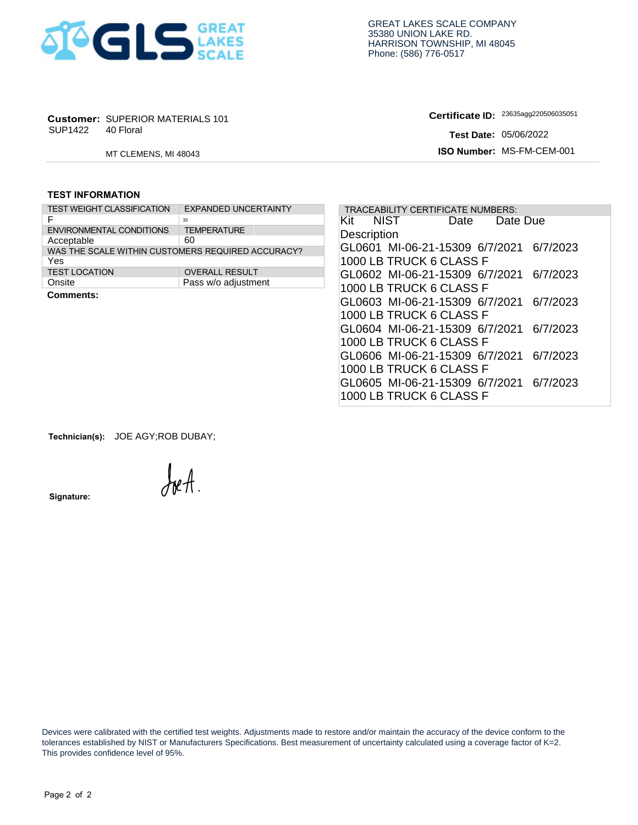

### **TEST INFORMATION**

| SUP1422 40 Floral       | <b>Customer: SUPERIOR MATERIALS 101</b>           |                             |  |  |  |  |  |  |
|-------------------------|---------------------------------------------------|-----------------------------|--|--|--|--|--|--|
|                         | MT CLEMENS, MI 48043                              |                             |  |  |  |  |  |  |
|                         |                                                   |                             |  |  |  |  |  |  |
| <b>TEST INFORMATION</b> |                                                   |                             |  |  |  |  |  |  |
|                         | <b>TEST WEIGHT CLASSIFICATION</b>                 | <b>EXPANDED UNCERTAINTY</b> |  |  |  |  |  |  |
| F                       |                                                   | 35                          |  |  |  |  |  |  |
|                         | ENVIRONMENTAL CONDITIONS                          | <b>TEMPERATURE</b>          |  |  |  |  |  |  |
| Acceptable              |                                                   | 60                          |  |  |  |  |  |  |
|                         | WAS THE SCALE WITHIN CUSTOMERS REQUIRED ACCURACY? |                             |  |  |  |  |  |  |
| Yes                     |                                                   |                             |  |  |  |  |  |  |
| <b>TEST LOCATION</b>    |                                                   | <b>OVERALL RESULT</b>       |  |  |  |  |  |  |
| Onsite                  |                                                   | Pass w/o adjustment         |  |  |  |  |  |  |
| Cammante:               |                                                   |                             |  |  |  |  |  |  |

|                         | <b>Customer: SUPERIOR MATERIALS 101</b> |                                                   | Certificate ID: 23635agg220506035051       |
|-------------------------|-----------------------------------------|---------------------------------------------------|--------------------------------------------|
| SUP1422                 | 40 Floral                               |                                                   | <b>Test Date: 05/06/2022</b>               |
|                         | MT CLEMENS, MI 48043                    |                                                   | ISO Number: MS-FM-CEM-001                  |
| <b>TEST INFORMATION</b> |                                         |                                                   |                                            |
|                         | <b>TEST WEIGHT CLASSIFICATION</b>       | <b>EXPANDED UNCERTAINTY</b>                       | <b>TRACEABILITY CERTIFICATE NUMBERS:</b>   |
| F                       |                                         | 35                                                | NIST<br>Kit<br>Date Due<br>Date            |
|                         | <b>ENVIRONMENTAL CONDITIONS</b>         | <b>TEMPERATURE</b><br>60                          | Description                                |
| Acceptable              |                                         | WAS THE SCALE WITHIN CUSTOMERS REQUIRED ACCURACY? | GL0601 MI-06-21-15309 6/7/2021<br>6/7/2023 |
| Yes                     |                                         |                                                   | 1000 LB TRUCK 6 CLASS F                    |
| <b>TEST LOCATION</b>    |                                         | <b>OVERALL RESULT</b>                             | GL0602 MI-06-21-15309 6/7/2021 6/7/2023    |
| Onsite                  |                                         | Pass w/o adjustment                               | 1000 LB TRUCK 6 CLASS F                    |
| <b>Comments:</b>        |                                         |                                                   | GL0603 MI-06-21-15309 6/7/2021 6/7/2023    |
|                         |                                         |                                                   | 1000 LB TRUCK 6 CLASS F                    |
|                         |                                         |                                                   |                                            |
|                         |                                         |                                                   | GL0604 MI-06-21-15309 6/7/2021<br>6/7/2023 |
|                         |                                         |                                                   | 1000 LB TRUCK 6 CLASS F                    |
|                         |                                         |                                                   | GL0606 MI-06-21-15309 6/7/2021 6/7/2023    |
|                         |                                         |                                                   | 1000 LB TRUCK 6 CLASS F                    |
|                         |                                         |                                                   | GL0605 MI-06-21-15309 6/7/2021 6/7/2023    |
|                         |                                         |                                                   | 1000 LB TRUCK 6 CLASS F                    |

**Technician(s):** JOE AGY;ROB DUBAY;

**Signature:** 

reA

 Devices were calibrated with the certified test weights. Adjustments made to restore and/or maintain the accuracy of the device conform to the tolerances established by NIST or Manufacturers Specifications. Best measurement of uncertainty calculated using a coverage factor of K=2. This provides confidence level of 95%.